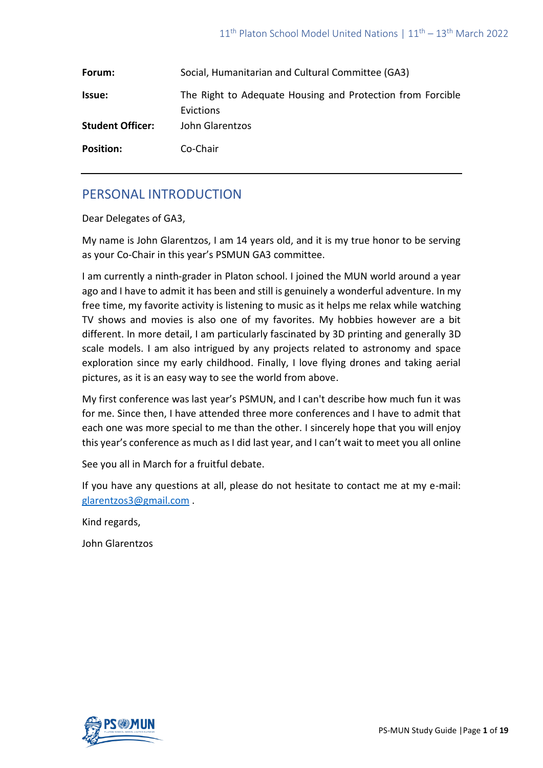| Forum:                  | Social, Humanitarian and Cultural Committee (GA3)                       |
|-------------------------|-------------------------------------------------------------------------|
| <b>Issue:</b>           | The Right to Adequate Housing and Protection from Forcible<br>Evictions |
| <b>Student Officer:</b> | John Glarentzos                                                         |
| <b>Position:</b>        | Co-Chair                                                                |

# PERSONAL INTRODUCTION

Dear Delegates of GA3,

My name is John Glarentzos, I am 14 years old, and it is my true honor to be serving as your Co-Chair in this year's PSMUN GA3 committee.

I am currently a ninth-grader in Platon school. I joined the MUN world around a year ago and I have to admit it has been and still is genuinely a wonderful adventure. In my free time, my favorite activity is listening to music as it helps me relax while watching TV shows and movies is also one of my favorites. My hobbies however are a bit different. In more detail, I am particularly fascinated by 3D printing and generally 3D scale models. I am also intrigued by any projects related to astronomy and space exploration since my early childhood. Finally, I love flying drones and taking aerial pictures, as it is an easy way to see the world from above.

My first conference was last year's PSMUN, and I can't describe how much fun it was for me. Since then, I have attended three more conferences and I have to admit that each one was more special to me than the other. I sincerely hope that you will enjoy this year's conference as much as I did last year, and I can't wait to meet you all online

See you all in March for a fruitful debate.

If you have any questions at all, please do not hesitate to contact me at my e-mail: [glarentzos3@gmail.com](mailto:glarentzos3@gmail.com) .

Kind regards,

John Glarentzos

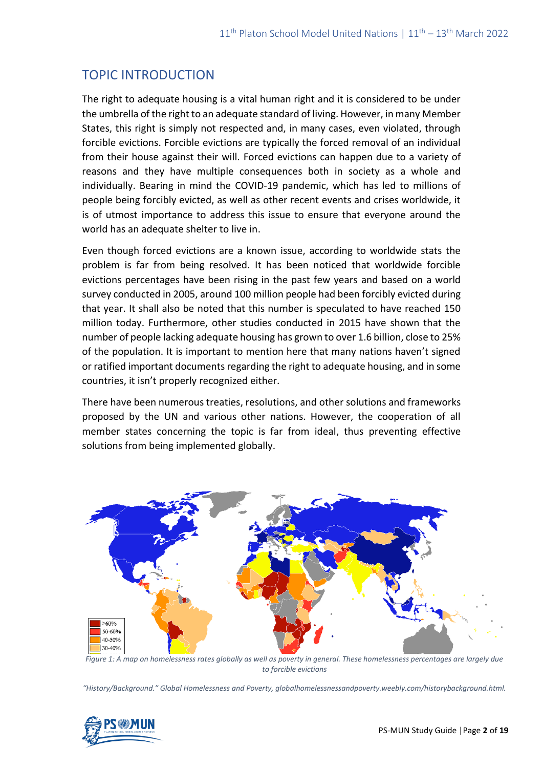# TOPIC INTRODUCTION

The right to adequate housing is a vital human right and it is considered to be under the umbrella of the right to an adequate standard of living. However, in many Member States, this right is simply not respected and, in many cases, even violated, through forcible evictions. Forcible evictions are typically the forced removal of an individual from their house against their will. Forced evictions can happen due to a variety of reasons and they have multiple consequences both in society as a whole and individually. Bearing in mind the COVID-19 pandemic, which has led to millions of people being forcibly evicted, as well as other recent events and crises worldwide, it is of utmost importance to address this issue to ensure that everyone around the world has an adequate shelter to live in.

Even though forced evictions are a known issue, according to worldwide stats the problem is far from being resolved. It has been noticed that worldwide forcible evictions percentages have been rising in the past few years and based on a world survey conducted in 2005, around 100 million people had been forcibly evicted during that year. It shall also be noted that this number is speculated to have reached 150 million today. Furthermore, other studies conducted in 2015 have shown that the number of people lacking adequate housing has grown to over 1.6 billion, close to 25% of the population. It is important to mention here that many nations haven't signed or ratified important documents regarding the right to adequate housing, and in some countries, it isn't properly recognized either.

There have been numerous treaties, resolutions, and other solutions and frameworks proposed by the UN and various other nations. However, the cooperation of all member states concerning the topic is far from ideal, thus preventing effective solutions from being implemented globally.



*Figure 1: A map on homelessness rates globally as well as poverty in general. These homelessness percentages are largely due to forcible evictions*

*"History/Background." Global Homelessness and Poverty, globalhomelessnessandpoverty.weebly.com/historybackground.html.*

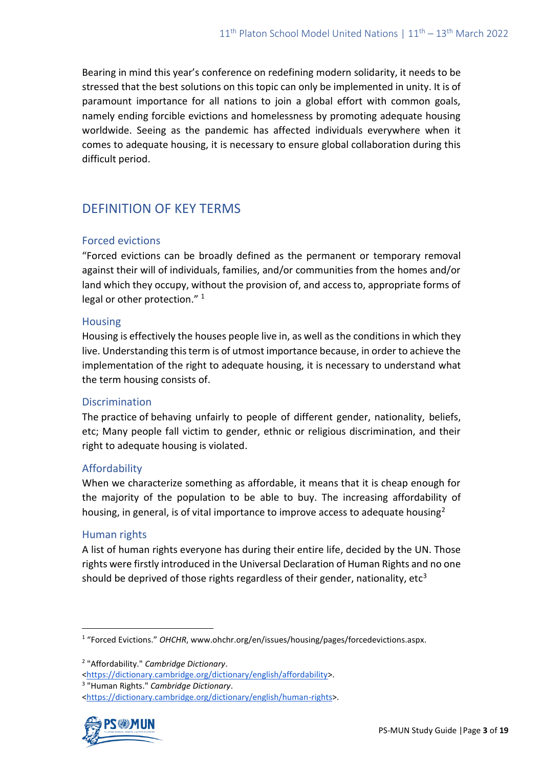Bearing in mind this year's conference on redefining modern solidarity, it needs to be stressed that the best solutions on this topic can only be implemented in unity. It is of paramount importance for all nations to join a global effort with common goals, namely ending forcible evictions and homelessness by promoting adequate housing worldwide. Seeing as the pandemic has affected individuals everywhere when it comes to adequate housing, it is necessary to ensure global collaboration during this difficult period.

# DEFINITION OF KEY TERMS

## Forced evictions

"Forced evictions can be broadly defined as the permanent or temporary removal against their will of individuals, families, and/or communities from the homes and/or land which they occupy, without the provision of, and access to, appropriate forms of legal or other protection."<sup>1</sup>

#### Housing

Housing is effectively the houses people live in, as well as the conditions in which they live. Understanding this term is of utmost importance because, in order to achieve the implementation of the right to adequate housing, it is necessary to understand what the term housing consists of.

## **Discrimination**

The [practice](https://www.ldoceonline.com/dictionary/practice) of behaving unfairly to people of different gender, nationality, beliefs, etc; Many people fall victim to gender, ethnic or religious discrimination, and their right to adequate housing is violated.

## Affordability

When we characterize something as affordable, it means that it is cheap enough for the majority of the population to be able to buy. The increasing affordability of housing, in general, is of vital importance to improve access to adequate housing<sup>2</sup>

## Human rights

A list of human rights everyone has during their entire life, decided by the UN. Those rights were firstly introduced in the Universal Declaration of Human Rights and no one should be deprived of those rights regardless of their gender, nationality, etc<sup>3</sup>

3 "Human Rights." *Cambridge Dictionary*.

[<sup>&</sup>lt;https://dictionary.cambridge.org/dictionary/english/human-rights>](https://dictionary.cambridge.org/dictionary/english/human-rights).



<sup>&</sup>lt;sup>1</sup> "Forced Evictions." OHCHR, www.ohchr.org/en/issues/housing/pages/forcedevictions.aspx.

<sup>2</sup> "Affordability." *Cambridge Dictionary*.

[<sup>&</sup>lt;https://dictionary.cambridge.org/dictionary/english/affordability>](https://dictionary.cambridge.org/dictionary/english/affordability).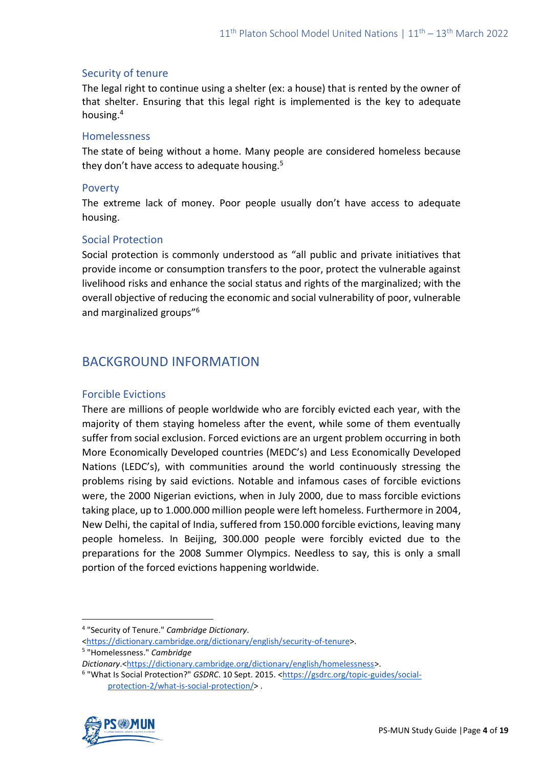### Security of tenure

The [legal](https://dictionary.cambridge.org/dictionary/english/legal) [right](https://dictionary.cambridge.org/dictionary/english/right) to continue using a shelter (ex: a house) that is rented by the owner of that shelter. Ensuring that this legal right is implemented is the key to adequate housing.<sup>4</sup>

#### Homelessness

The [state](https://dictionary.cambridge.org/dictionary/english/state) of being without a [home.](https://dictionary.cambridge.org/dictionary/english/home) Many people are considered homeless because they don't have access to adequate housing.<sup>5</sup>

#### Poverty

The extreme lack of money. Poor people usually don't have access to adequate housing.

#### Social Protection

Social protection is commonly understood as "all public and private initiatives that provide income or consumption transfers to the poor, protect the vulnerable against livelihood risks and enhance the social status and rights of the marginalized; with the overall objective of reducing the economic and social vulnerability of poor, vulnerable and marginalized groups"<sup>6</sup>

## BACKGROUND INFORMATION

#### Forcible Evictions

There are millions of people worldwide who are forcibly evicted each year, with the majority of them staying homeless after the event, while some of them eventually suffer from social exclusion. Forced evictions are an urgent problem occurring in both More Economically Developed countries (MEDC's) and Less Economically Developed Nations (LEDC's), with communities around the world continuously stressing the problems rising by said evictions. Notable and infamous cases of forcible evictions were, the 2000 Nigerian evictions, when in July 2000, due to mass forcible evictions taking place, up to 1.000.000 million people were left homeless. Furthermore in 2004, New Delhi, the capital of India, suffered from 150.000 forcible evictions, leaving many people homeless. In Beijing, 300.000 people were forcibly evicted due to the preparations for the 2008 Summer Olympics. Needless to say, this is only a small portion of the forced evictions happening worldwide.

<sup>&</sup>lt;sup>6</sup> "What Is Social Protection?" *GSDRC*. 10 Sept. 2015. [<https://gsdrc.org/topic-guides/social](https://gsdrc.org/topic-guides/social-protection-2/what-is-social-protection/)[protection-2/what-is-social-protection/>](https://gsdrc.org/topic-guides/social-protection-2/what-is-social-protection/) .



<sup>4</sup> "Security of Tenure." *Cambridge Dictionary*.

[<sup>&</sup>lt;https://dictionary.cambridge.org/dictionary/english/security-of-tenure>](https://dictionary.cambridge.org/dictionary/english/security-of-tenure). 5 "Homelessness." *Cambridge* 

*Dictionary*.[<https://dictionary.cambridge.org/dictionary/english/homelessness>](https://dictionary.cambridge.org/dictionary/english/homelessness).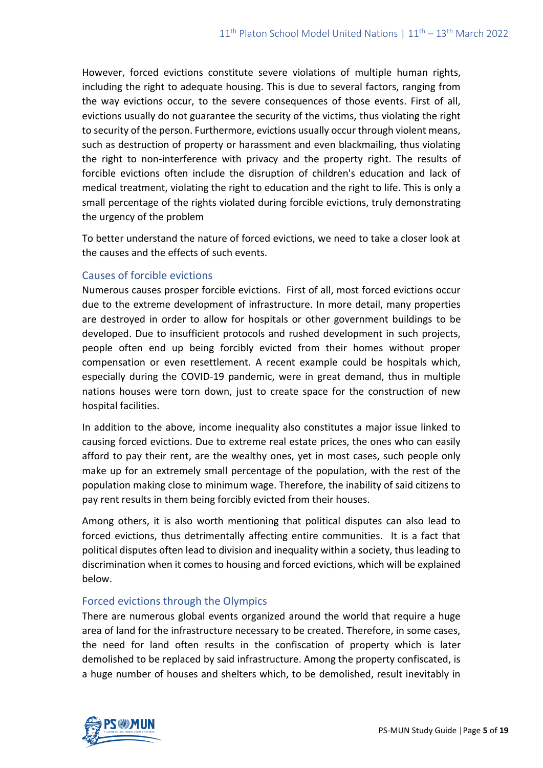However, forced evictions constitute severe violations of multiple human rights, including the right to adequate housing. This is due to several factors, ranging from the way evictions occur, to the severe consequences of those events. First of all, evictions usually do not guarantee the security of the victims, thus violating the right to security of the person. Furthermore, evictions usually occur through violent means, such as destruction of property or harassment and even blackmailing, thus violating the right to non-interference with privacy and the property right. The results of forcible evictions often include the disruption of children's education and lack of medical treatment, violating the right to education and the right to life. This is only a small percentage of the rights violated during forcible evictions, truly demonstrating the urgency of the problem

To better understand the nature of forced evictions, we need to take a closer look at the causes and the effects of such events.

#### Causes of forcible evictions

Numerous causes prosper forcible evictions. First of all, most forced evictions occur due to the extreme development of infrastructure. In more detail, many properties are destroyed in order to allow for hospitals or other government buildings to be developed. Due to insufficient protocols and rushed development in such projects, people often end up being forcibly evicted from their homes without proper compensation or even resettlement. A recent example could be hospitals which, especially during the COVID-19 pandemic, were in great demand, thus in multiple nations houses were torn down, just to create space for the construction of new hospital facilities.

In addition to the above, income inequality also constitutes a major issue linked to causing forced evictions. Due to extreme real estate prices, the ones who can easily afford to pay their rent, are the wealthy ones, yet in most cases, such people only make up for an extremely small percentage of the population, with the rest of the population making close to minimum wage. Therefore, the inability of said citizens to pay rent results in them being forcibly evicted from their houses.

Among others, it is also worth mentioning that political disputes can also lead to forced evictions, thus detrimentally affecting entire communities. It is a fact that political disputes often lead to division and inequality within a society, thus leading to discrimination when it comes to housing and forced evictions, which will be explained below.

## Forced evictions through the Olympics

There are numerous global events organized around the world that require a huge area of land for the infrastructure necessary to be created. Therefore, in some cases, the need for land often results in the confiscation of property which is later demolished to be replaced by said infrastructure. Among the property confiscated, is a huge number of houses and shelters which, to be demolished, result inevitably in

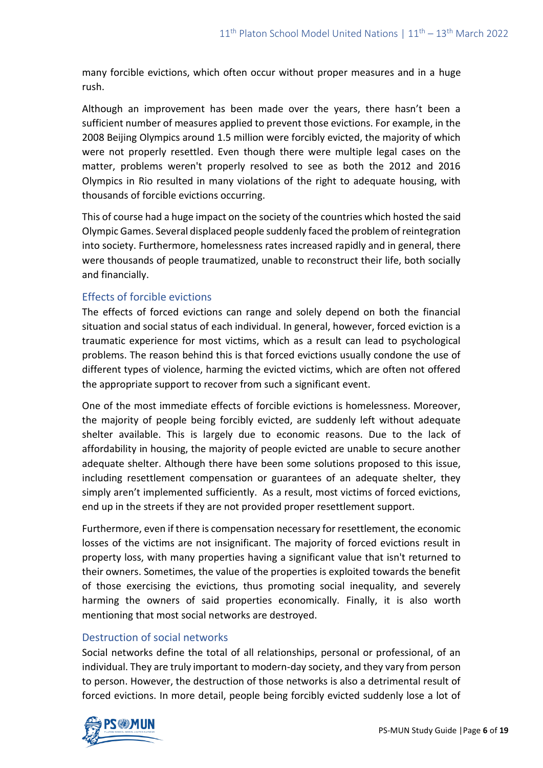many forcible evictions, which often occur without proper measures and in a huge rush.

Although an improvement has been made over the years, there hasn't been a sufficient number of measures applied to prevent those evictions. For example, in the 2008 Beijing Olympics around 1.5 million were forcibly evicted, the majority of which were not properly resettled. Even though there were multiple legal cases on the matter, problems weren't properly resolved to see as both the 2012 and 2016 Olympics in Rio resulted in many violations of the right to adequate housing, with thousands of forcible evictions occurring.

This of course had a huge impact on the society of the countries which hosted the said Olympic Games. Several displaced people suddenly faced the problem of reintegration into society. Furthermore, homelessness rates increased rapidly and in general, there were thousands of people traumatized, unable to reconstruct their life, both socially and financially.

## Effects of forcible evictions

The effects of forced evictions can range and solely depend on both the financial situation and social status of each individual. In general, however, forced eviction is a traumatic experience for most victims, which as a result can lead to psychological problems. The reason behind this is that forced evictions usually condone the use of different types of violence, harming the evicted victims, which are often not offered the appropriate support to recover from such a significant event.

One of the most immediate effects of forcible evictions is homelessness. Moreover, the majority of people being forcibly evicted, are suddenly left without adequate shelter available. This is largely due to economic reasons. Due to the lack of affordability in housing, the majority of people evicted are unable to secure another adequate shelter. Although there have been some solutions proposed to this issue, including resettlement compensation or guarantees of an adequate shelter, they simply aren't implemented sufficiently. As a result, most victims of forced evictions, end up in the streets if they are not provided proper resettlement support.

Furthermore, even if there is compensation necessary for resettlement, the economic losses of the victims are not insignificant. The majority of forced evictions result in property loss, with many properties having a significant value that isn't returned to their owners. Sometimes, the value of the properties is exploited towards the benefit of those exercising the evictions, thus promoting social inequality, and severely harming the owners of said properties economically. Finally, it is also worth mentioning that most social networks are destroyed.

## Destruction of social networks

Social networks define the total of all relationships, personal or professional, of an individual. They are truly important to modern-day society, and they vary from person to person. However, the destruction of those networks is also a detrimental result of forced evictions. In more detail, people being forcibly evicted suddenly lose a lot of

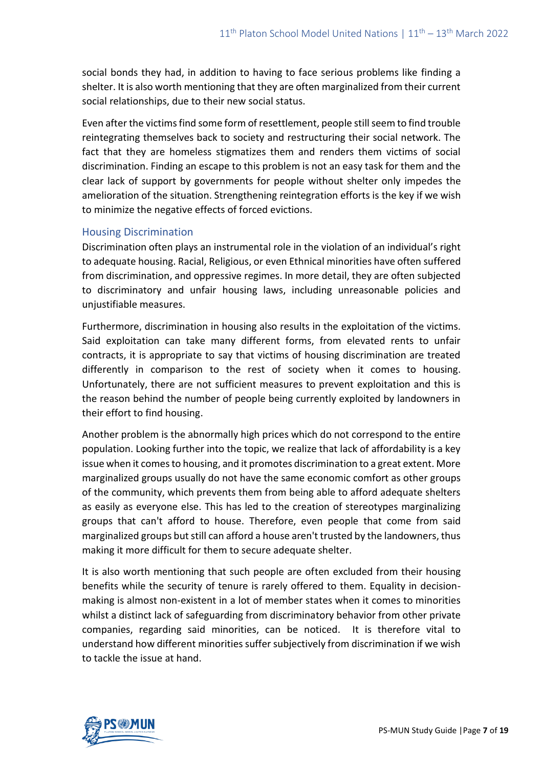social bonds they had, in addition to having to face serious problems like finding a shelter. It is also worth mentioning that they are often marginalized from their current social relationships, due to their new social status.

Even after the victims find some form of resettlement, people still seem to find trouble reintegrating themselves back to society and restructuring their social network. The fact that they are homeless stigmatizes them and renders them victims of social discrimination. Finding an escape to this problem is not an easy task for them and the clear lack of support by governments for people without shelter only impedes the amelioration of the situation. Strengthening reintegration efforts is the key if we wish to minimize the negative effects of forced evictions.

#### Housing Discrimination

Discrimination often plays an instrumental role in the violation of an individual's right to adequate housing. Racial, Religious, or even Ethnical minorities have often suffered from discrimination, and oppressive regimes. In more detail, they are often subjected to discriminatory and unfair housing laws, including unreasonable policies and unjustifiable measures.

Furthermore, discrimination in housing also results in the exploitation of the victims. Said exploitation can take many different forms, from elevated rents to unfair contracts, it is appropriate to say that victims of housing discrimination are treated differently in comparison to the rest of society when it comes to housing. Unfortunately, there are not sufficient measures to prevent exploitation and this is the reason behind the number of people being currently exploited by landowners in their effort to find housing.

Another problem is the abnormally high prices which do not correspond to the entire population. Looking further into the topic, we realize that lack of affordability is a key issue when it comes to housing, and it promotes discrimination to a great extent. More marginalized groups usually do not have the same economic comfort as other groups of the community, which prevents them from being able to afford adequate shelters as easily as everyone else. This has led to the creation of stereotypes marginalizing groups that can't afford to house. Therefore, even people that come from said marginalized groups but still can afford a house aren't trusted by the landowners, thus making it more difficult for them to secure adequate shelter.

It is also worth mentioning that such people are often excluded from their housing benefits while the security of tenure is rarely offered to them. Equality in decisionmaking is almost non-existent in a lot of member states when it comes to minorities whilst a distinct lack of safeguarding from discriminatory behavior from other private companies, regarding said minorities, can be noticed. It is therefore vital to understand how different minorities suffer subjectively from discrimination if we wish to tackle the issue at hand.

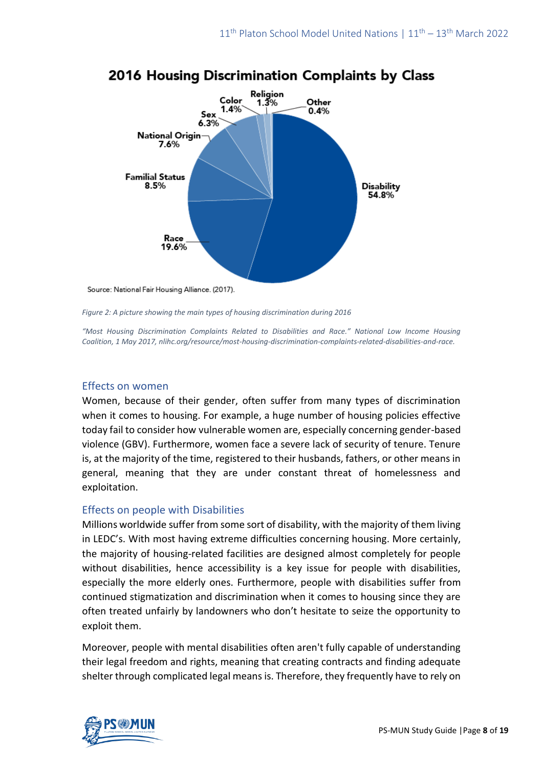

# 2016 Housing Discrimination Complaints by Class

*Figure 2: A picture showing the main types of housing discrimination during 2016*

*"Most Housing Discrimination Complaints Related to Disabilities and Race." National Low Income Housing Coalition, 1 May 2017, nlihc.org/resource/most-housing-discrimination-complaints-related-disabilities-and-race.*

### Effects on women

Women, because of their gender, often suffer from many types of discrimination when it comes to housing. For example, a huge number of housing policies effective today fail to consider how vulnerable women are, especially concerning gender-based violence (GBV). Furthermore, women face a severe lack of security of tenure. Tenure is, at the majority of the time, registered to their husbands, fathers, or other means in general, meaning that they are under constant threat of homelessness and exploitation.

## Effects on people with Disabilities

Millions worldwide suffer from some sort of disability, with the majority of them living in LEDC's. With most having extreme difficulties concerning housing. More certainly, the majority of housing-related facilities are designed almost completely for people without disabilities, hence accessibility is a key issue for people with disabilities, especially the more elderly ones. Furthermore, people with disabilities suffer from continued stigmatization and discrimination when it comes to housing since they are often treated unfairly by landowners who don't hesitate to seize the opportunity to exploit them.

Moreover, people with mental disabilities often aren't fully capable of understanding their legal freedom and rights, meaning that creating contracts and finding adequate shelter through complicated legal means is. Therefore, they frequently have to rely on

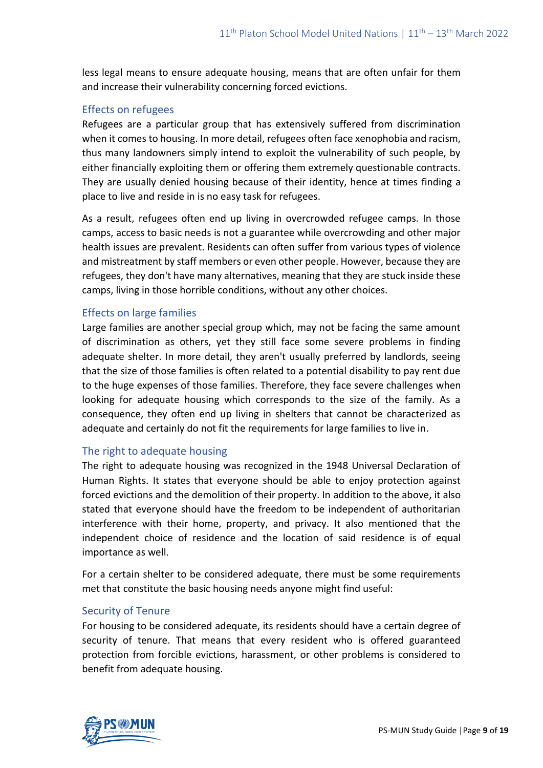less legal means to ensure adequate housing, means that are often unfair for them and increase their vulnerability concerning forced evictions.

## Effects on refugees

Refugees are a particular group that has extensively suffered from discrimination when it comes to housing. In more detail, refugees often face xenophobia and racism, thus many landowners simply intend to exploit the vulnerability of such people, by either financially exploiting them or offering them extremely questionable contracts. They are usually denied housing because of their identity, hence at times finding a place to live and reside in is no easy task for refugees.

As a result, refugees often end up living in overcrowded refugee camps. In those camps, access to basic needs is not a guarantee while overcrowding and other major health issues are prevalent. Residents can often suffer from various types of violence and mistreatment by staff members or even other people. However, because they are refugees, they don't have many alternatives, meaning that they are stuck inside these camps, living in those horrible conditions, without any other choices.

## Effects on large families

Large families are another special group which, may not be facing the same amount of discrimination as others, yet they still face some severe problems in finding adequate shelter. In more detail, they aren't usually preferred by landlords, seeing that the size of those families is often related to a potential disability to pay rent due to the huge expenses of those families. Therefore, they face severe challenges when looking for adequate housing which corresponds to the size of the family. As a consequence, they often end up living in shelters that cannot be characterized as adequate and certainly do not fit the requirements for large families to live in.

#### The right to adequate housing

The right to adequate housing was recognized in the 1948 Universal Declaration of Human Rights. It states that everyone should be able to enjoy protection against forced evictions and the demolition of their property. In addition to the above, it also stated that everyone should have the freedom to be independent of authoritarian interference with their home, property, and privacy. It also mentioned that the independent choice of residence and the location of said residence is of equal importance as well.

For a certain shelter to be considered adequate, there must be some requirements met that constitute the basic housing needs anyone might find useful:

#### Security of Tenure

For housing to be considered adequate, its residents should have a certain degree of security of tenure. That means that every resident who is offered guaranteed protection from forcible evictions, harassment, or other problems is considered to benefit from adequate housing.

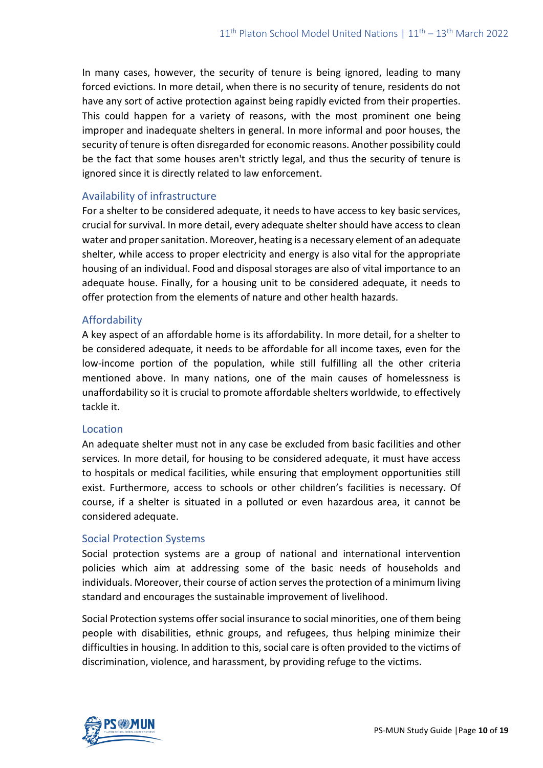In many cases, however, the security of tenure is being ignored, leading to many forced evictions. In more detail, when there is no security of tenure, residents do not have any sort of active protection against being rapidly evicted from their properties. This could happen for a variety of reasons, with the most prominent one being improper and inadequate shelters in general. In more informal and poor houses, the security of tenure is often disregarded for economic reasons. Another possibility could be the fact that some houses aren't strictly legal, and thus the security of tenure is ignored since it is directly related to law enforcement.

## Availability of infrastructure

For a shelter to be considered adequate, it needs to have access to key basic services, crucial for survival. In more detail, every adequate shelter should have access to clean water and proper sanitation. Moreover, heating is a necessary element of an adequate shelter, while access to proper electricity and energy is also vital for the appropriate housing of an individual. Food and disposal storages are also of vital importance to an adequate house. Finally, for a housing unit to be considered adequate, it needs to offer protection from the elements of nature and other health hazards.

## Affordability

A key aspect of an affordable home is its affordability. In more detail, for a shelter to be considered adequate, it needs to be affordable for all income taxes, even for the low-income portion of the population, while still fulfilling all the other criteria mentioned above. In many nations, one of the main causes of homelessness is unaffordability so it is crucial to promote affordable shelters worldwide, to effectively tackle it.

## Location

An adequate shelter must not in any case be excluded from basic facilities and other services. In more detail, for housing to be considered adequate, it must have access to hospitals or medical facilities, while ensuring that employment opportunities still exist. Furthermore, access to schools or other children's facilities is necessary. Of course, if a shelter is situated in a polluted or even hazardous area, it cannot be considered adequate.

## Social Protection Systems

Social protection systems are a group of national and international intervention policies which aim at addressing some of the basic needs of households and individuals. Moreover, their course of action serves the protection of a minimum living standard and encourages the sustainable improvement of livelihood.

Social Protection systems offer social insurance to social minorities, one of them being people with disabilities, ethnic groups, and refugees, thus helping minimize their difficulties in housing. In addition to this, social care is often provided to the victims of discrimination, violence, and harassment, by providing refuge to the victims.

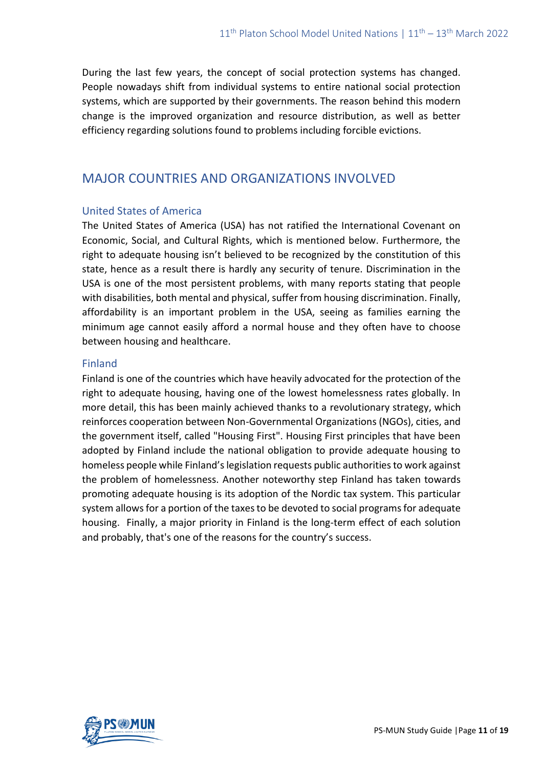During the last few years, the concept of social protection systems has changed. People nowadays shift from individual systems to entire national social protection systems, which are supported by their governments. The reason behind this modern change is the improved organization and resource distribution, as well as better efficiency regarding solutions found to problems including forcible evictions.

## MAJOR COUNTRIES AND ORGANIZATIONS INVOLVED

## United States of America

The United States of America (USA) has not ratified the International Covenant on Economic, Social, and Cultural Rights, which is mentioned below. Furthermore, the right to adequate housing isn't believed to be recognized by the constitution of this state, hence as a result there is hardly any security of tenure. Discrimination in the USA is one of the most persistent problems, with many reports stating that people with disabilities, both mental and physical, suffer from housing discrimination. Finally, affordability is an important problem in the USA, seeing as families earning the minimum age cannot easily afford a normal house and they often have to choose between housing and healthcare.

#### Finland

Finland is one of the countries which have heavily advocated for the protection of the right to adequate housing, having one of the lowest homelessness rates globally. In more detail, this has been mainly achieved thanks to a revolutionary strategy, which reinforces cooperation between Non-Governmental Organizations (NGOs), cities, and the government itself, called "Housing First". Housing First principles that have been adopted by Finland include the national obligation to provide adequate housing to homeless people while Finland's legislation requests public authorities to work against the problem of homelessness. Another noteworthy step Finland has taken towards promoting adequate housing is its adoption of the Nordic tax system. This particular system allows for a portion of the taxes to be devoted to social programs for adequate housing. Finally, a major priority in Finland is the long-term effect of each solution and probably, that's one of the reasons for the country's success.

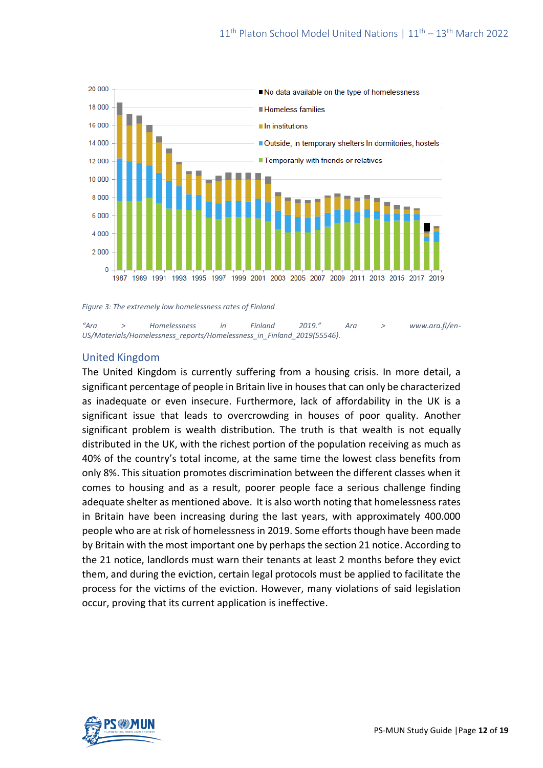

*Figure 3: The extremely low homelessness rates of Finland*

*"Ara > Homelessness in Finland 2019." Ara > www.ara.fi/en-US/Materials/Homelessness\_reports/Homelessness\_in\_Finland\_2019(55546).*

#### United Kingdom

The United Kingdom is currently suffering from a housing crisis. In more detail, a significant percentage of people in Britain live in houses that can only be characterized as inadequate or even insecure. Furthermore, lack of affordability in the UK is a significant issue that leads to overcrowding in houses of poor quality. Another significant problem is wealth distribution. The truth is that wealth is not equally distributed in the UK, with the richest portion of the population receiving as much as 40% of the country's total income, at the same time the lowest class benefits from only 8%. This situation promotes discrimination between the different classes when it comes to housing and as a result, poorer people face a serious challenge finding adequate shelter as mentioned above. It is also worth noting that homelessness rates in Britain have been increasing during the last years, with approximately 400.000 people who are at risk of homelessness in 2019. Some efforts though have been made by Britain with the most important one by perhaps the section 21 notice. According to the 21 notice, landlords must warn their tenants at least 2 months before they evict them, and during the eviction, certain legal protocols must be applied to facilitate the process for the victims of the eviction. However, many violations of said legislation occur, proving that its current application is ineffective.

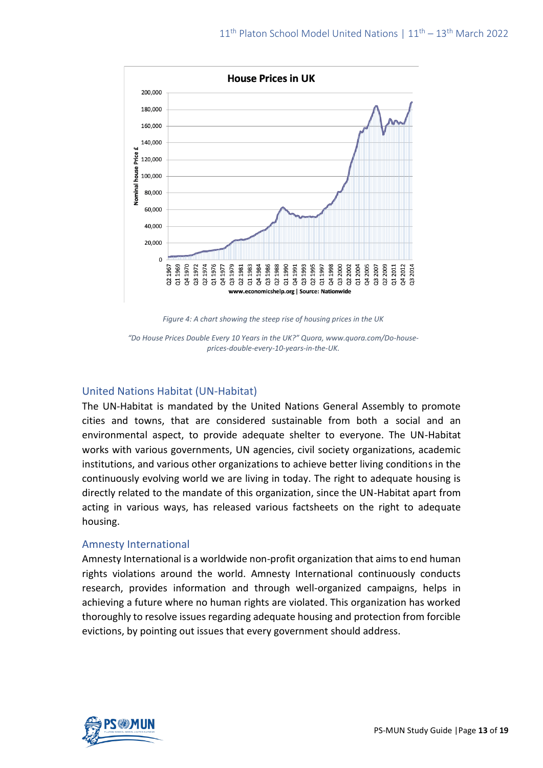

*Figure 4: A chart showing the steep rise of housing prices in the UK*

*"Do House Prices Double Every 10 Years in the UK?" Quora, www.quora.com/Do-houseprices-double-every-10-years-in-the-UK.*

#### United Nations Habitat (UN-Habitat)

The UN-Habitat is mandated by the United Nations General Assembly to promote cities and towns, that are considered sustainable from both a social and an environmental aspect, to provide adequate shelter to everyone. The UN-Habitat works with various governments, UN agencies, civil society organizations, academic institutions, and various other organizations to achieve better living conditions in the continuously evolving world we are living in today. The right to adequate housing is directly related to the mandate of this organization, since the UN-Habitat apart from acting in various ways, has released various factsheets on the right to adequate housing.

#### Amnesty International

Amnesty International is a worldwide non-profit organization that aims to end human rights violations around the world. Amnesty International continuously conducts research, provides information and through well-organized campaigns, helps in achieving a future where no human rights are violated. This organization has worked thoroughly to resolve issues regarding adequate housing and protection from forcible evictions, by pointing out issues that every government should address.

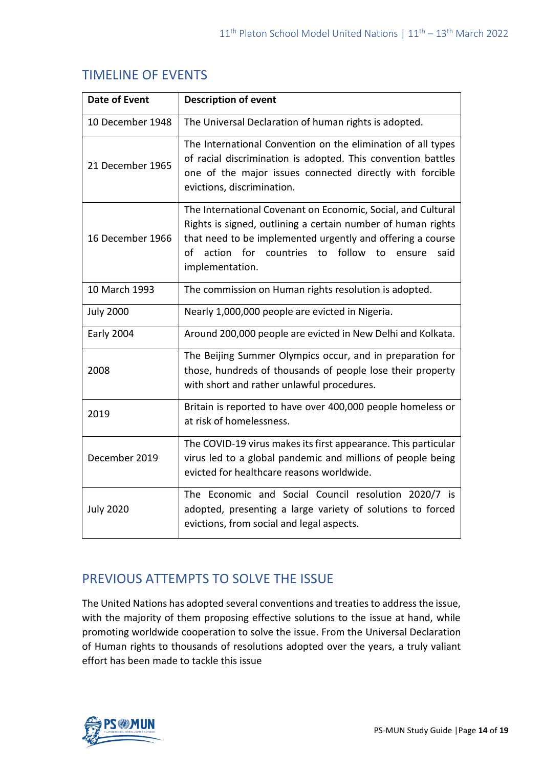|  | <b>TIMELINE OF EVENTS</b> |
|--|---------------------------|
|--|---------------------------|

| <b>Date of Event</b> | <b>Description of event</b>                                                                                                                                                                                                                                                   |
|----------------------|-------------------------------------------------------------------------------------------------------------------------------------------------------------------------------------------------------------------------------------------------------------------------------|
| 10 December 1948     | The Universal Declaration of human rights is adopted.                                                                                                                                                                                                                         |
| 21 December 1965     | The International Convention on the elimination of all types<br>of racial discrimination is adopted. This convention battles<br>one of the major issues connected directly with forcible<br>evictions, discrimination.                                                        |
| 16 December 1966     | The International Covenant on Economic, Social, and Cultural<br>Rights is signed, outlining a certain number of human rights<br>that need to be implemented urgently and offering a course<br>to follow<br>of action for countries<br>to<br>said<br>ensure<br>implementation. |
| 10 March 1993        | The commission on Human rights resolution is adopted.                                                                                                                                                                                                                         |
| <b>July 2000</b>     | Nearly 1,000,000 people are evicted in Nigeria.                                                                                                                                                                                                                               |
| Early 2004           | Around 200,000 people are evicted in New Delhi and Kolkata.                                                                                                                                                                                                                   |
| 2008                 | The Beijing Summer Olympics occur, and in preparation for<br>those, hundreds of thousands of people lose their property<br>with short and rather unlawful procedures.                                                                                                         |
| 2019                 | Britain is reported to have over 400,000 people homeless or<br>at risk of homelessness.                                                                                                                                                                                       |
| December 2019        | The COVID-19 virus makes its first appearance. This particular<br>virus led to a global pandemic and millions of people being<br>evicted for healthcare reasons worldwide.                                                                                                    |
| <b>July 2020</b>     | The Economic and Social Council resolution 2020/7 is<br>adopted, presenting a large variety of solutions to forced<br>evictions, from social and legal aspects.                                                                                                               |

# PREVIOUS ATTEMPTS TO SOLVE THE ISSUE

The United Nations has adopted several conventions and treaties to address the issue, with the majority of them proposing effective solutions to the issue at hand, while promoting worldwide cooperation to solve the issue. From the Universal Declaration of Human rights to thousands of resolutions adopted over the years, a truly valiant effort has been made to tackle this issue

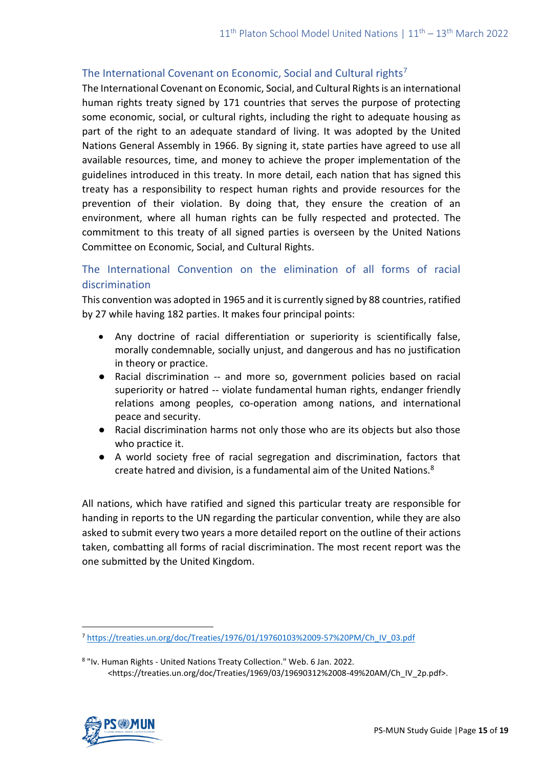## The International Covenant on Economic, Social and Cultural rights<sup>7</sup>

The International Covenant on Economic, Social, and Cultural Rights is an international human rights treaty signed by 171 countries that serves the purpose of protecting some economic, social, or cultural rights, including the right to adequate housing as part of the right to an adequate standard of living. It was adopted by the United Nations General Assembly in 1966. By signing it, state parties have agreed to use all available resources, time, and money to achieve the proper implementation of the guidelines introduced in this treaty. In more detail, each nation that has signed this treaty has a responsibility to respect human rights and provide resources for the prevention of their violation. By doing that, they ensure the creation of an environment, where all human rights can be fully respected and protected. The commitment to this treaty of all signed parties is overseen by the United Nations Committee on Economic, Social, and Cultural Rights.

## The International Convention on the elimination of all forms of racial discrimination

This convention was adopted in 1965 and it is currently signed by 88 countries, ratified by 27 while having 182 parties. It makes four principal points:

- Any doctrine of racial differentiation or superiority is scientifically false, morally condemnable, socially unjust, and dangerous and has no justification in theory or practice.
- Racial discrimination -- and more so, government policies based on racial superiority or hatred -- violate fundamental human rights, endanger friendly relations among peoples, co-operation among nations, and international peace and security.
- Racial discrimination harms not only those who are its objects but also those who practice it.
- A world society free of racial segregation and discrimination, factors that create hatred and division, is a fundamental aim of the United Nations.<sup>8</sup>

All nations, which have ratified and signed this particular treaty are responsible for handing in reports to the UN regarding the particular convention, while they are also asked to submit every two years a more detailed report on the outline of their actions taken, combatting all forms of racial discrimination. The most recent report was the one submitted by the United Kingdom.

<sup>8</sup> "Iv. Human Rights - United Nations Treaty Collection." Web. 6 Jan. 2022. <https://treaties.un.org/doc/Treaties/1969/03/19690312%2008-49%20AM/Ch\_IV\_2p.pdf>.



<sup>7</sup> [https://treaties.un.org/doc/Treaties/1976/01/19760103%2009-57%20PM/Ch\\_IV\\_03.pdf](https://treaties.un.org/doc/Treaties/1976/01/19760103%2009-57%20PM/Ch_IV_03.pdf)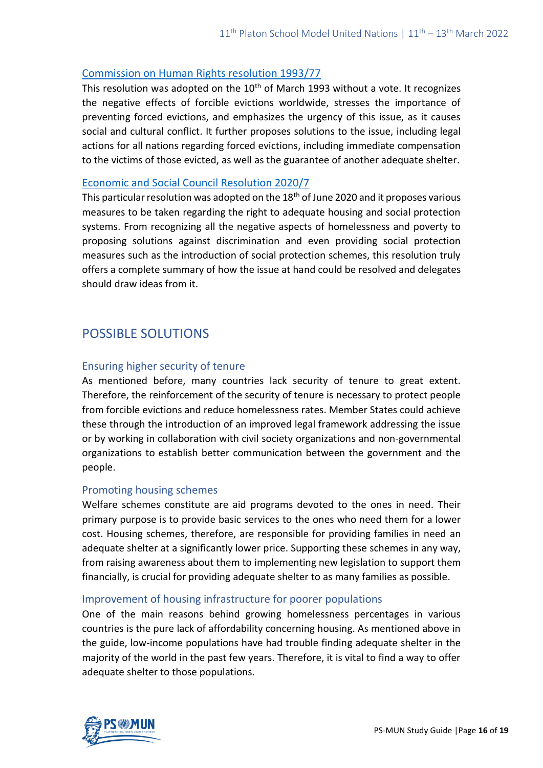### [Commission on Human Rights resolution 1993/77](https://hlrn.org/img/documents/ECN4199377%20en.pdf)

This resolution was adopted on the  $10<sup>th</sup>$  of March 1993 without a vote. It recognizes the negative effects of forcible evictions worldwide, stresses the importance of preventing forced evictions, and emphasizes the urgency of this issue, as it causes social and cultural conflict. It further proposes solutions to the issue, including legal actions for all nations regarding forced evictions, including immediate compensation to the victims of those evicted, as well as the guarantee of another adequate shelter.

#### [Economic and Social Council Resolution 2020/7](https://undocs.org/E/RES/2020/7)

This particular resolution was adopted on the 18<sup>th</sup> of June 2020 and it proposes various measures to be taken regarding the right to adequate housing and social protection systems. From recognizing all the negative aspects of homelessness and poverty to proposing solutions against discrimination and even providing social protection measures such as the introduction of social protection schemes, this resolution truly offers a complete summary of how the issue at hand could be resolved and delegates should draw ideas from it.

# POSSIBLE SOLUTIONS

## Ensuring higher security of tenure

As mentioned before, many countries lack security of tenure to great extent. Therefore, the reinforcement of the security of tenure is necessary to protect people from forcible evictions and reduce homelessness rates. Member States could achieve these through the introduction of an improved legal framework addressing the issue or by working in collaboration with civil society organizations and non-governmental organizations to establish better communication between the government and the people.

#### Promoting housing schemes

Welfare schemes constitute are aid programs devoted to the ones in need. Their primary purpose is to provide basic services to the ones who need them for a lower cost. Housing schemes, therefore, are responsible for providing families in need an adequate shelter at a significantly lower price. Supporting these schemes in any way, from raising awareness about them to implementing new legislation to support them financially, is crucial for providing adequate shelter to as many families as possible.

## Improvement of housing infrastructure for poorer populations

One of the main reasons behind growing homelessness percentages in various countries is the pure lack of affordability concerning housing. As mentioned above in the guide, low-income populations have had trouble finding adequate shelter in the majority of the world in the past few years. Therefore, it is vital to find a way to offer adequate shelter to those populations.

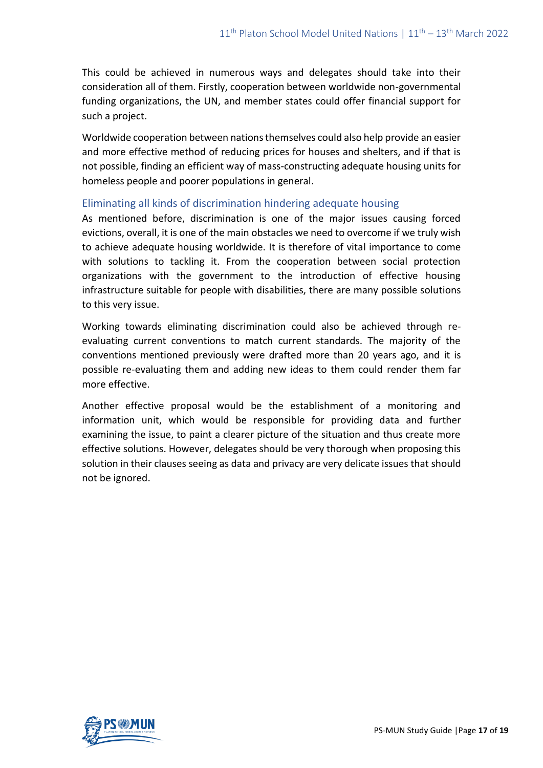This could be achieved in numerous ways and delegates should take into their consideration all of them. Firstly, cooperation between worldwide non-governmental funding organizations, the UN, and member states could offer financial support for such a project.

Worldwide cooperation between nations themselves could also help provide an easier and more effective method of reducing prices for houses and shelters, and if that is not possible, finding an efficient way of mass-constructing adequate housing units for homeless people and poorer populations in general.

#### Eliminating all kinds of discrimination hindering adequate housing

As mentioned before, discrimination is one of the major issues causing forced evictions, overall, it is one of the main obstacles we need to overcome if we truly wish to achieve adequate housing worldwide. It is therefore of vital importance to come with solutions to tackling it. From the cooperation between social protection organizations with the government to the introduction of effective housing infrastructure suitable for people with disabilities, there are many possible solutions to this very issue.

Working towards eliminating discrimination could also be achieved through reevaluating current conventions to match current standards. The majority of the conventions mentioned previously were drafted more than 20 years ago, and it is possible re-evaluating them and adding new ideas to them could render them far more effective.

Another effective proposal would be the establishment of a monitoring and information unit, which would be responsible for providing data and further examining the issue, to paint a clearer picture of the situation and thus create more effective solutions. However, delegates should be very thorough when proposing this solution in their clauses seeing as data and privacy are very delicate issues that should not be ignored.

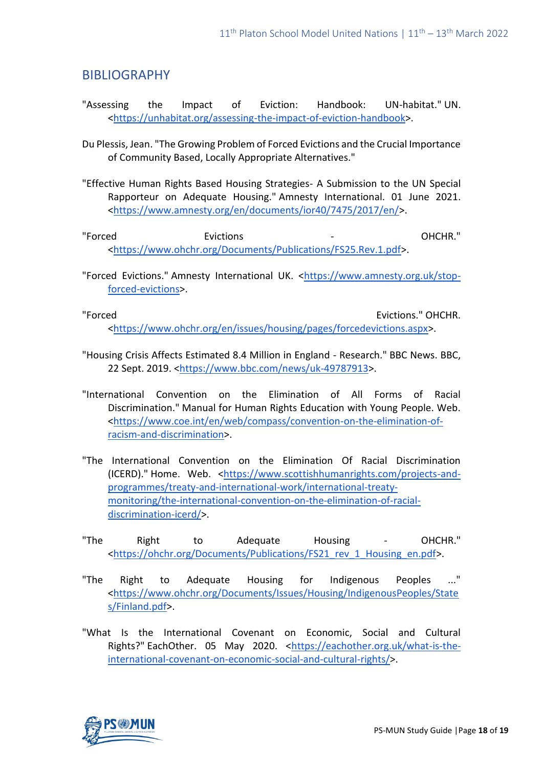## BIBLIOGRAPHY

- "Assessing the Impact of Eviction: Handbook: UN-habitat." UN. [<https://unhabitat.org/assessing-the-impact-of-eviction-handbook>](https://unhabitat.org/assessing-the-impact-of-eviction-handbook).
- Du Plessis, Jean. "The Growing Problem of Forced Evictions and the Crucial Importance of Community Based, Locally Appropriate Alternatives."
- "Effective Human Rights Based Housing Strategies- A Submission to the UN Special Rapporteur on Adequate Housing." Amnesty International. 01 June 2021. [<https://www.amnesty.org/en/documents/ior40/7475/2017/en/>](https://www.amnesty.org/en/documents/ior40/7475/2017/en/).
- "Forced Evictions OHCHR." [<https://www.ohchr.org/Documents/Publications/FS25.Rev.1.pdf>](https://www.ohchr.org/Documents/Publications/FS25.Rev.1.pdf).
- "Forced Evictions." Amnesty International UK. [<https://www.amnesty.org.uk/stop](https://www.amnesty.org.uk/stop-forced-evictions)[forced-evictions>](https://www.amnesty.org.uk/stop-forced-evictions).

"Forced Evictions." OHCHR. [<https://www.ohchr.org/en/issues/housing/pages/forcedevictions.aspx>](https://www.ohchr.org/en/issues/housing/pages/forcedevictions.aspx).

- "Housing Crisis Affects Estimated 8.4 Million in England Research." BBC News. BBC, 22 Sept. 2019. [<https://www.bbc.com/news/uk-49787913>](https://www.bbc.com/news/uk-49787913).
- "International Convention on the Elimination of All Forms of Racial Discrimination." Manual for Human Rights Education with Young People. Web. [<https://www.coe.int/en/web/compass/convention-on-the-elimination-of](https://www.coe.int/en/web/compass/convention-on-the-elimination-of-racism-and-discrimination)[racism-and-discrimination>](https://www.coe.int/en/web/compass/convention-on-the-elimination-of-racism-and-discrimination).
- "The International Convention on the Elimination Of Racial Discrimination (ICERD)." Home. Web. [<https://www.scottishhumanrights.com/projects-and](https://www.scottishhumanrights.com/projects-and-programmes/treaty-and-international-work/international-treaty-monitoring/the-international-convention-on-the-elimination-of-racial-discrimination-icerd/)[programmes/treaty-and-international-work/international-treaty](https://www.scottishhumanrights.com/projects-and-programmes/treaty-and-international-work/international-treaty-monitoring/the-international-convention-on-the-elimination-of-racial-discrimination-icerd/)[monitoring/the-international-convention-on-the-elimination-of-racial](https://www.scottishhumanrights.com/projects-and-programmes/treaty-and-international-work/international-treaty-monitoring/the-international-convention-on-the-elimination-of-racial-discrimination-icerd/)[discrimination-icerd/>](https://www.scottishhumanrights.com/projects-and-programmes/treaty-and-international-work/international-treaty-monitoring/the-international-convention-on-the-elimination-of-racial-discrimination-icerd/).
- "The Right to Adequate Housing OHCHR." [<https://ohchr.org/Documents/Publications/FS21\\_rev\\_1\\_Housing\\_en.pdf>](https://ohchr.org/Documents/Publications/FS21_rev_1_Housing_en.pdf).
- "The Right to Adequate Housing for Indigenous Peoples [<https://www.ohchr.org/Documents/Issues/Housing/IndigenousPeoples/State](https://www.ohchr.org/Documents/Issues/Housing/IndigenousPeoples/States/Finland.pdf) [s/Finland.pdf>](https://www.ohchr.org/Documents/Issues/Housing/IndigenousPeoples/States/Finland.pdf).
- "What Is the International Covenant on Economic, Social and Cultural Rights?" EachOther. 05 May 2020. [<https://eachother.org.uk/what-is-the](https://eachother.org.uk/what-is-the-international-covenant-on-economic-social-and-cultural-rights/)[international-covenant-on-economic-social-and-cultural-rights/>](https://eachother.org.uk/what-is-the-international-covenant-on-economic-social-and-cultural-rights/).